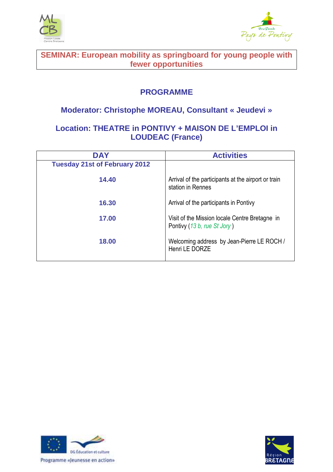



**SEMINAR: European mobility as springboard for young people with fewer opportunities** 

## **PROGRAMME**

## **Moderator: Christophe MOREAU, Consultant « Jeudevi »**

## **Location: THEATRE in PONTIVY + MAISON DE L'EMPLOI in LOUDEAC (France)**

| <b>DAY</b>                           | <b>Activities</b>                                                             |
|--------------------------------------|-------------------------------------------------------------------------------|
| <b>Tuesday 21st of February 2012</b> |                                                                               |
| 14.40                                | Arrival of the participants at the airport or train<br>station in Rennes      |
| 16.30                                | Arrival of the participants in Pontivy                                        |
| 17.00                                | Visit of the Mission locale Centre Bretagne in<br>Pontivy (13 b, rue St Jory) |
| 18.00                                | Welcoming address by Jean-Pierre LE ROCH /<br>Henri LE DORZE                  |



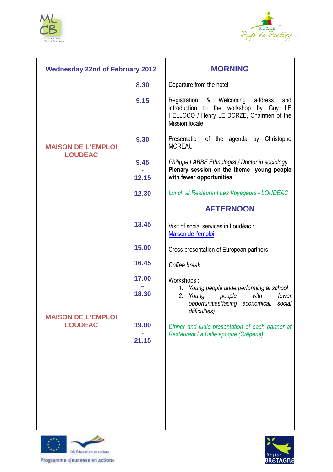



| <b>Wednesday 22nd of February 2012</b>      |       | <b>MORNING</b>                                                                                                                                                |
|---------------------------------------------|-------|---------------------------------------------------------------------------------------------------------------------------------------------------------------|
|                                             | 8.30  | Departure from the hotel                                                                                                                                      |
| <b>MAISON DE L'EMPLOI</b><br><b>LOUDEAC</b> | 9.15  | Registration &<br>Welcoming<br>address<br>and<br>introduction to the workshop by Guy LE<br>HELLOCO / Henry LE DORZE, Chairmen of the<br><b>Mission locale</b> |
|                                             | 9.30  | Presentation of the agenda by Christophe<br><b>MOREAU</b>                                                                                                     |
|                                             | 9.45  | Philippe LABBE Ethnologist / Doctor in sociology                                                                                                              |
|                                             | 12.15 | Plenary session on the theme young people<br>with fewer opportunities                                                                                         |
|                                             | 12.30 | Lunch at Restaurant Les Voyageurs - LOUDEAC                                                                                                                   |
|                                             |       | <b>AFTERNOON</b>                                                                                                                                              |
|                                             | 13.45 | Visit of social services in Loudéac :<br>Maison de l'emploi                                                                                                   |
|                                             | 15.00 | Cross presentation of European partners                                                                                                                       |
|                                             | 16.45 | Coffee break                                                                                                                                                  |
|                                             | 17.00 | Workshops:                                                                                                                                                    |
| <b>MAISON DE L'EMPLOI</b><br><b>LOUDEAC</b> | 18.30 | 1. Young people underperforming at school<br>2.<br>Young<br>people<br>with<br>fewer<br>opportunities (facing economical,<br>social<br>difficulties)           |
|                                             | 19.00 | Dinner and ludic presentation of each partner at                                                                                                              |
|                                             | 21.15 | Restaurant La Belle époque (Crêperie)                                                                                                                         |
|                                             |       |                                                                                                                                                               |



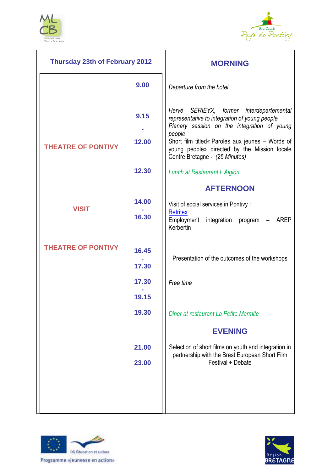



| <b>Thursday 23th of February 2012</b> |       | <b>MORNING</b>                                                                                                                                     |
|---------------------------------------|-------|----------------------------------------------------------------------------------------------------------------------------------------------------|
|                                       | 9.00  | Departure from the hotel                                                                                                                           |
|                                       | 9.15  | Hervé SERIEYX, former interdepartemental<br>representative to integration of young people<br>Plenary session on the integration of young<br>people |
| <b>THEATRE OF PONTIVY</b>             | 12.00 | Short film titled« Paroles aux jeunes - Words of<br>young people» directed by the Mission locale<br>Centre Bretagne - (25 Minutes)                 |
|                                       | 12.30 | Lunch at Restaurant L'Aiglon                                                                                                                       |
|                                       |       | <b>AFTERNOON</b>                                                                                                                                   |
| <b>VISIT</b>                          | 14.00 | Visit of social services in Pontivy :                                                                                                              |
|                                       | 16.30 | <b>Retritex</b><br>Employment integration program<br><b>AREP</b><br>Kerbertin                                                                      |
| <b>THEATRE OF PONTIVY</b>             | 16.45 |                                                                                                                                                    |
|                                       | 17.30 | Presentation of the outcomes of the workshops                                                                                                      |
|                                       | 17.30 | Free time                                                                                                                                          |
|                                       | 19.15 |                                                                                                                                                    |
|                                       | 19.30 | Diner at restaurant La Petite Marmite                                                                                                              |
|                                       |       | <b>EVENING</b>                                                                                                                                     |
|                                       | 21.00 | Selection of short films on youth and integration in                                                                                               |
|                                       | 23.00 | partnership with the Brest European Short Film<br>Festival + Debate                                                                                |
|                                       |       |                                                                                                                                                    |
|                                       |       |                                                                                                                                                    |
|                                       |       |                                                                                                                                                    |



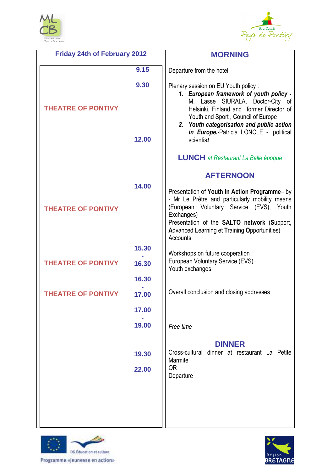



| <b>Friday 24th of February 2012</b> |                | <b>MORNING</b>                                                                                                                                                                                                                                                                                              |
|-------------------------------------|----------------|-------------------------------------------------------------------------------------------------------------------------------------------------------------------------------------------------------------------------------------------------------------------------------------------------------------|
|                                     | 9.15           | Departure from the hotel                                                                                                                                                                                                                                                                                    |
| <b>THEATRE OF PONTIVY</b>           | 9.30<br>12.00  | Plenary session on EU Youth policy:<br>1. European framework of youth policy -<br>SIURALA, Doctor-City of<br>M. Lasse<br>Helsinki, Finland and former Director of<br>Youth and Sport, Council of Europe<br>2. Youth categorisation and public action<br>in Europe.-Patricia LONCLE - political<br>scientist |
|                                     |                | <b>LUNCH</b> at Restaurant La Belle époque                                                                                                                                                                                                                                                                  |
|                                     |                | <b>AFTERNOON</b>                                                                                                                                                                                                                                                                                            |
| <b>THEATRE OF PONTIVY</b>           | 14.00          | Presentation of Youth in Action Programme- by<br>- Mr Le Prêtre and particularly mobility means<br>(European Voluntary Service (EVS), Youth<br>Exchanges)<br>Presentation of the <b>SALTO network</b> (Support,<br><b>Advanced Learning et Training Opportunities)</b><br>Accounts                          |
|                                     | 15.30          | Workshops on future cooperation :                                                                                                                                                                                                                                                                           |
| <b>THEATRE OF PONTIVY</b>           | 16.30          | European Voluntary Service (EVS)<br>Youth exchanges                                                                                                                                                                                                                                                         |
|                                     | 16.30          |                                                                                                                                                                                                                                                                                                             |
| <b>THEATRE OF PONTIVY</b>           | 17.00          | Overall conclusion and closing addresses                                                                                                                                                                                                                                                                    |
|                                     | 17.00          |                                                                                                                                                                                                                                                                                                             |
|                                     | 19.00          | Free time                                                                                                                                                                                                                                                                                                   |
|                                     | 19.30<br>22.00 | <b>DINNER</b><br>Cross-cultural dinner at restaurant La Petite<br>Marmite<br>0R<br>Departure                                                                                                                                                                                                                |
|                                     |                |                                                                                                                                                                                                                                                                                                             |